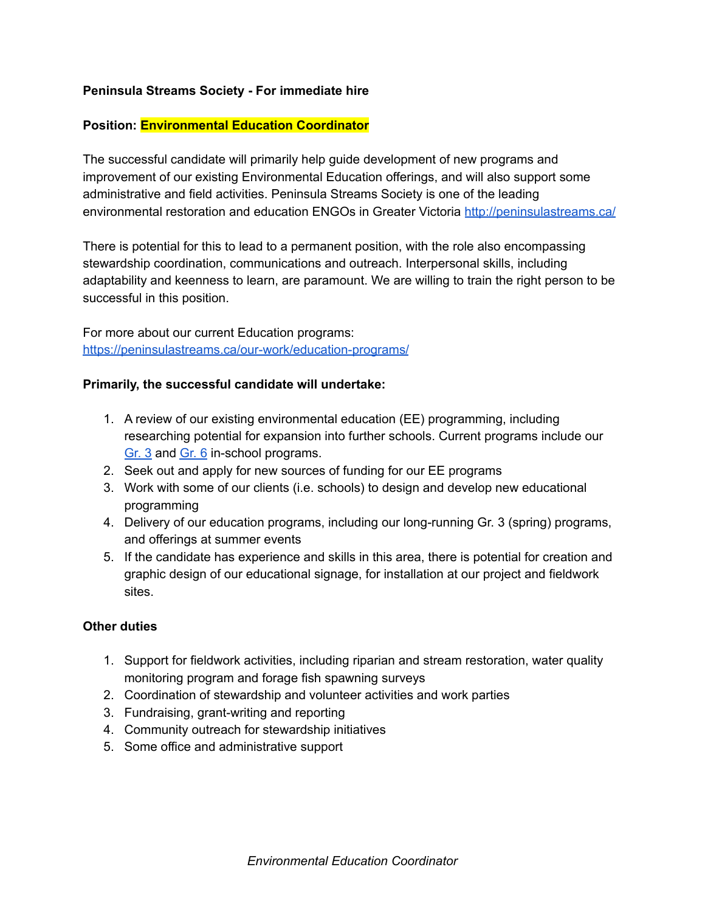## **Peninsula Streams Society - For immediate hire**

### **Position: Environmental Education Coordinator**

The successful candidate will primarily help guide development of new programs and improvement of our existing Environmental Education offerings, and will also support some administrative and field activities. Peninsula Streams Society is one of the leading environmental restoration and education ENGOs in Greater Victoria <http://peninsulastreams.ca/>

There is potential for this to lead to a permanent position, with the role also encompassing stewardship coordination, communications and outreach. Interpersonal skills, including adaptability and keenness to learn, are paramount. We are willing to train the right person to be successful in this position.

For more about our current Education programs: <https://peninsulastreams.ca/our-work/education-programs/>

### **Primarily, the successful candidate will undertake:**

- 1. A review of our existing environmental education (EE) programming, including researching potential for expansion into further schools. Current programs include our [Gr.](https://peninsulastreams.ca/our-work/education-programs/grade-3/) 3 and [Gr.](https://peninsulastreams.ca/our-work/education-programs/grade-6/) 6 in-school programs.
- 2. Seek out and apply for new sources of funding for our EE programs
- 3. Work with some of our clients (i.e. schools) to design and develop new educational programming
- 4. Delivery of our education programs, including our long-running Gr. 3 (spring) programs, and offerings at summer events
- 5. If the candidate has experience and skills in this area, there is potential for creation and graphic design of our educational signage, for installation at our project and fieldwork sites.

#### **Other duties**

- 1. Support for fieldwork activities, including riparian and stream restoration, water quality monitoring program and forage fish spawning surveys
- 2. Coordination of stewardship and volunteer activities and work parties
- 3. Fundraising, grant-writing and reporting
- 4. Community outreach for stewardship initiatives
- 5. Some office and administrative support